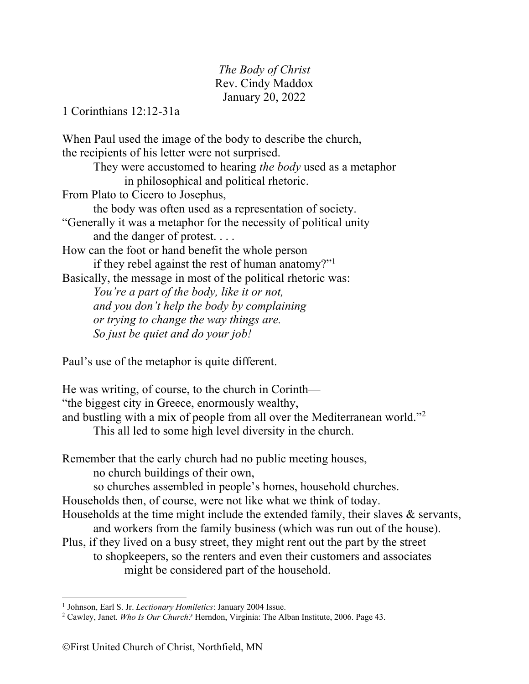*The Body of Christ* Rev. Cindy Maddox January 20, 2022

1 Corinthians 12:12-31a

When Paul used the image of the body to describe the church, the recipients of his letter were not surprised. They were accustomed to hearing *the body* used as a metaphor in philosophical and political rhetoric. From Plato to Cicero to Josephus, the body was often used as a representation of society. "Generally it was a metaphor for the necessity of political unity and the danger of protest. . . . How can the foot or hand benefit the whole person if they rebel against the rest of human anatomy?"1 Basically, the message in most of the political rhetoric was: *You're a part of the body, like it or not, and you don't help the body by complaining or trying to change the way things are. So just be quiet and do your job!*

Paul's use of the metaphor is quite different.

He was writing, of course, to the church in Corinth— "the biggest city in Greece, enormously wealthy, and bustling with a mix of people from all over the Mediterranean world."2 This all led to some high level diversity in the church.

Remember that the early church had no public meeting houses, no church buildings of their own, so churches assembled in people's homes, household churches.

Households then, of course, were not like what we think of today.

- Households at the time might include the extended family, their slaves & servants,
	- and workers from the family business (which was run out of the house).
- Plus, if they lived on a busy street, they might rent out the part by the street to shopkeepers, so the renters and even their customers and associates might be considered part of the household.

<sup>1</sup> Johnson, Earl S. Jr. *Lectionary Homiletics*: January 2004 Issue.

<sup>2</sup> Cawley, Janet. *Who Is Our Church?* Herndon, Virginia: The Alban Institute, 2006. Page 43.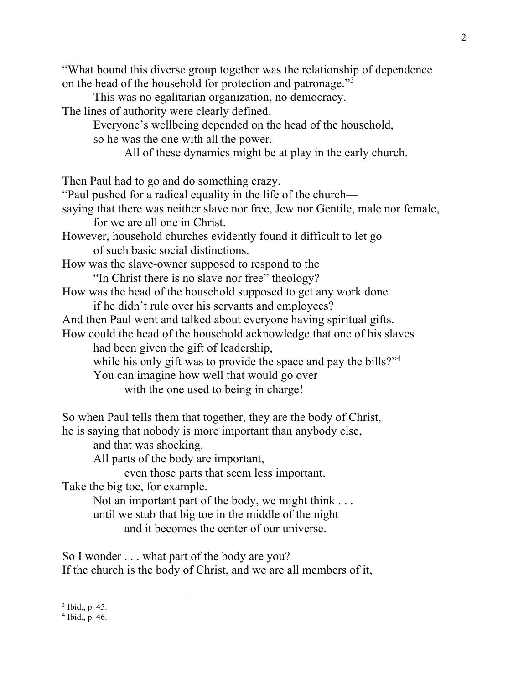"What bound this diverse group together was the relationship of dependence on the head of the household for protection and patronage."3 This was no egalitarian organization, no democracy. The lines of authority were clearly defined. Everyone's wellbeing depended on the head of the household, so he was the one with all the power. All of these dynamics might be at play in the early church. Then Paul had to go and do something crazy. "Paul pushed for a radical equality in the life of the church saying that there was neither slave nor free, Jew nor Gentile, male nor female, for we are all one in Christ. However, household churches evidently found it difficult to let go of such basic social distinctions. How was the slave-owner supposed to respond to the "In Christ there is no slave nor free" theology? How was the head of the household supposed to get any work done if he didn't rule over his servants and employees? And then Paul went and talked about everyone having spiritual gifts. How could the head of the household acknowledge that one of his slaves had been given the gift of leadership, while his only gift was to provide the space and pay the bills?"<sup>4</sup> You can imagine how well that would go over with the one used to being in charge! So when Paul tells them that together, they are the body of Christ, he is saying that nobody is more important than anybody else, and that was shocking. All parts of the body are important, even those parts that seem less important. Take the big toe, for example. Not an important part of the body, we might think ... until we stub that big toe in the middle of the night and it becomes the center of our universe.

So I wonder . . . what part of the body are you? If the church is the body of Christ, and we are all members of it,

<sup>3</sup> Ibid., p. 45.

 $4$  Ibid., p. 46.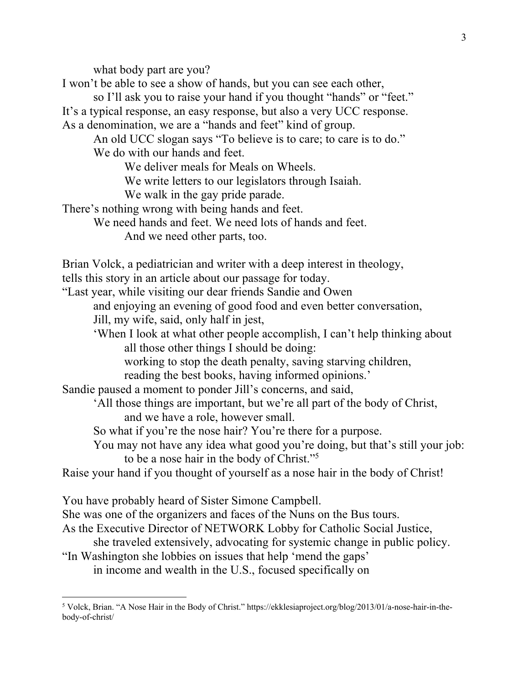what body part are you?

I won't be able to see a show of hands, but you can see each other,

so I'll ask you to raise your hand if you thought "hands" or "feet." It's a typical response, an easy response, but also a very UCC response. As a denomination, we are a "hands and feet" kind of group.

An old UCC slogan says "To believe is to care; to care is to do." We do with our hands and feet.

We deliver meals for Meals on Wheels.

We write letters to our legislators through Isaiah.

We walk in the gay pride parade.

There's nothing wrong with being hands and feet.

We need hands and feet. We need lots of hands and feet.

And we need other parts, too.

Brian Volck, a pediatrician and writer with a deep interest in theology, tells this story in an article about our passage for today.

"Last year, while visiting our dear friends Sandie and Owen

and enjoying an evening of good food and even better conversation,

Jill, my wife, said, only half in jest,

'When I look at what other people accomplish, I can't help thinking about all those other things I should be doing:

working to stop the death penalty, saving starving children,

reading the best books, having informed opinions.'

Sandie paused a moment to ponder Jill's concerns, and said,

'All those things are important, but we're all part of the body of Christ, and we have a role, however small.

So what if you're the nose hair? You're there for a purpose.

You may not have any idea what good you're doing, but that's still your job: to be a nose hair in the body of Christ."5

Raise your hand if you thought of yourself as a nose hair in the body of Christ!

You have probably heard of Sister Simone Campbell.

She was one of the organizers and faces of the Nuns on the Bus tours.

As the Executive Director of NETWORK Lobby for Catholic Social Justice,

she traveled extensively, advocating for systemic change in public policy.

"In Washington she lobbies on issues that help 'mend the gaps' in income and wealth in the U.S., focused specifically on

<sup>5</sup> Volck, Brian. "A Nose Hair in the Body of Christ." https://ekklesiaproject.org/blog/2013/01/a-nose-hair-in-thebody-of-christ/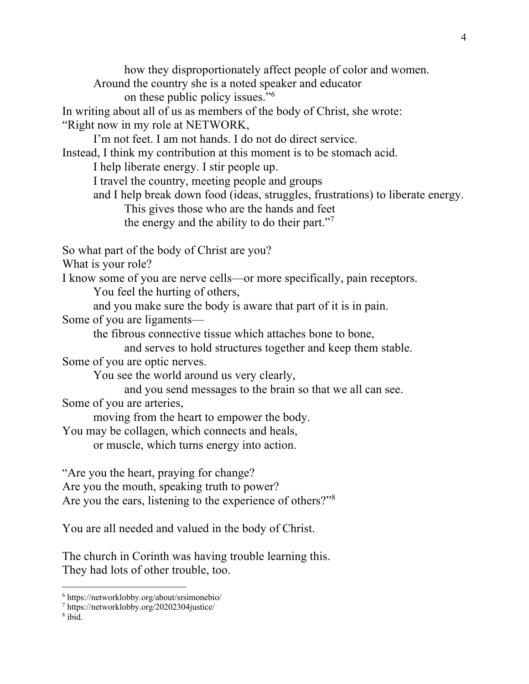how they disproportionately affect people of color and women. Around the country she is a noted speaker and educator on these public policy issues."<sup>6</sup> In writing about all of us as members of the body of Christ, she wrote: "Right now in my role at NETWORK, I'm not feet. I am not hands. I do not do direct service. Instead, I think my contribution at this moment is to be stomach acid. I help liberate energy. I stir people up. I travel the country, meeting people and groups and I help break down food (ideas, struggles, frustrations) to liberate energy. This gives those who are the hands and feet the energy and the ability to do their part."7 So what part of the body of Christ are you? What is your role? I know some of you are nerve cells—or more specifically, pain receptors. You feel the hurting of others, and you make sure the body is aware that part of it is in pain. Some of you are ligaments the fibrous connective tissue which attaches bone to bone, and serves to hold structures together and keep them stable. Some of you are optic nerves. You see the world around us very clearly, and you send messages to the brain so that we all can see. Some of you are arteries, moving from the heart to empower the body. You may be collagen, which connects and heals, or muscle, which turns energy into action. "Are you the heart, praying for change? Are you the mouth, speaking truth to power? Are you the ears, listening to the experience of others?"8

You are all needed and valued in the body of Christ.

The church in Corinth was having trouble learning this. They had lots of other trouble, too.

<sup>8</sup> ibid.

<sup>6</sup> https://networklobby.org/about/srsimonebio/

<sup>7</sup> https://networklobby.org/20202304justice/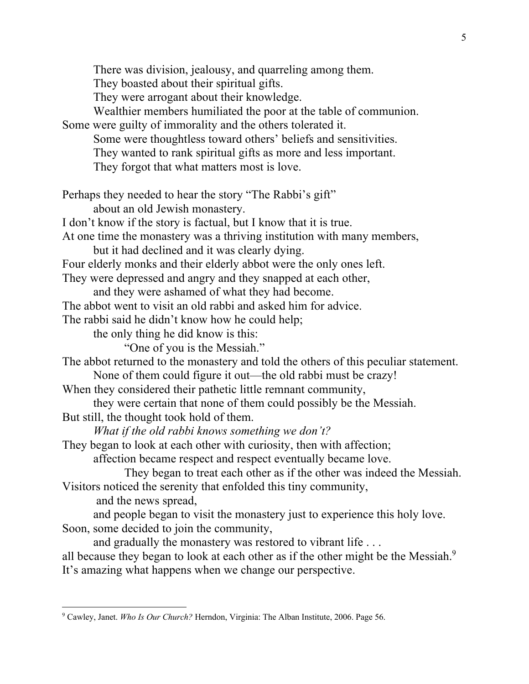There was division, jealousy, and quarreling among them. They boasted about their spiritual gifts. They were arrogant about their knowledge. Wealthier members humiliated the poor at the table of communion. Some were guilty of immorality and the others tolerated it. Some were thoughtless toward others' beliefs and sensitivities. They wanted to rank spiritual gifts as more and less important. They forgot that what matters most is love. Perhaps they needed to hear the story "The Rabbi's gift" about an old Jewish monastery. I don't know if the story is factual, but I know that it is true. At one time the monastery was a thriving institution with many members, but it had declined and it was clearly dying. Four elderly monks and their elderly abbot were the only ones left. They were depressed and angry and they snapped at each other, and they were ashamed of what they had become. The abbot went to visit an old rabbi and asked him for advice. The rabbi said he didn't know how he could help; the only thing he did know is this: "One of you is the Messiah." The abbot returned to the monastery and told the others of this peculiar statement. None of them could figure it out—the old rabbi must be crazy! When they considered their pathetic little remnant community, they were certain that none of them could possibly be the Messiah. But still, the thought took hold of them. *What if the old rabbi knows something we don't?* They began to look at each other with curiosity, then with affection; affection became respect and respect eventually became love. They began to treat each other as if the other was indeed the Messiah. Visitors noticed the serenity that enfolded this tiny community, and the news spread, and people began to visit the monastery just to experience this holy love. Soon, some decided to join the community, and gradually the monastery was restored to vibrant life . . . all because they began to look at each other as if the other might be the Messiah.<sup>9</sup> It's amazing what happens when we change our perspective.

<sup>9</sup> Cawley, Janet. *Who Is Our Church?* Herndon, Virginia: The Alban Institute, 2006. Page 56.